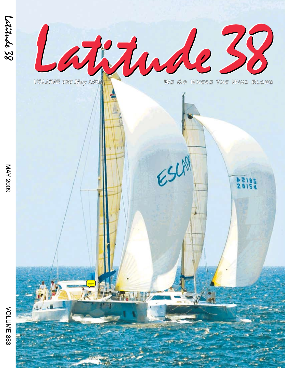

ESLA

*VOL UME 383 May 2009*

WE GO WHERE THE WIND BLOWS

28154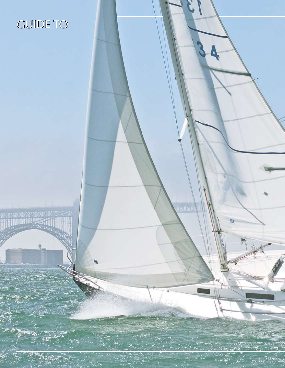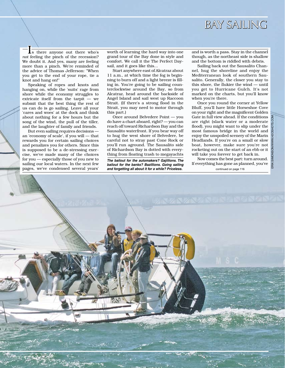

Is there anyone out there who's *not* feeling the pinch of the recession? We doubt it. And yes, many are feeling more than a pinch. We're reminded of the advice of Thomas Jefferson: "When you get to the end of your rope, tie a knot and hang on!"

Speaking of ropes and knots and hanging on, while the 'suits' rage from shore while the economy struggles to extricate itself from the tarpit — we submit that the best thing the rest of us can do is go sailing. Leave all your 'cares and woes' at the dock and think about nothing for a few hours but the song of the wind, the pull of the tiller, and the laughter of family and friends.

But even sailing requires decisions an 'economy of scale', if you will — that rewards you for certain sailing choices and penalizes you for others. Since this is supposed to be a de-stressing exercise, we've made many of the choices for you — especially those of you new to sailing our local waters. In the next few pages, we've condensed several years'

worth of learning the hard way into one grand tour of the Bay done in style and comfort. We call it the The Perfect Daysail, and it goes like this...

Start anywhere east of Alcatraz about 11 a.m., at which time the fog is beginning to burn off and a light breeze is filling in. You're going to be sailing counterclockwise around the Bay, so from Alcatraz, head around the backside of Angel Island and sail west up Raccoon Strait. (If there's a strong flood in the Strait, you may need to motor through this part.)

Once around Belvedere Point — you do have a chart aboard, right? — you can reach off toward Richardson Bay and the Sausalito waterfront. If you bear way off to hug the west shore of Belvedere, be careful not to stray past Cone Rock or you'll run aground. The Sausalito side of Richardson Bay is dotted with everything from floating trash to megayachts

*The bailout for the automakers? Gajillions. The bailout for the banks? Bazillions. Going sailing*  and forgetting all about it for a while? Priceless. **Example 20 and for a set of the page 116** continued on page 116

and is worth a pass. Stay in the channel though, as the northeast side is shallow and the bottom is riddled with debris.

Sailing back out the Sausalito Channel, hug the shoreline and enjoy the Mediterranean look of southern Sausalito. Generally, the closer you stay to this shore, the flukier the wind — until you get to Hurricane Gulch. It's not marked on the charts, but you'll know when you're there.

Once you round the corner at Yellow Bluff, you'll have little Horseshoe Cove on your right and the magnificent Golden Gate in full view ahead. If the conditions are right (slack water or a moderate flood), you might want to slip under the most famous bridge in the world and enjoy the unspoiled scenery of the Marin Headlands. If you're on a small or slow boat, however, make sure you're not rocketing out on the start of an ebb or it will take you forever to get back in.

ERIK SIMONSON/WWW.H2OSHOTS.COM

Now comes the best part: turn around. If everything has gone as planned, you've

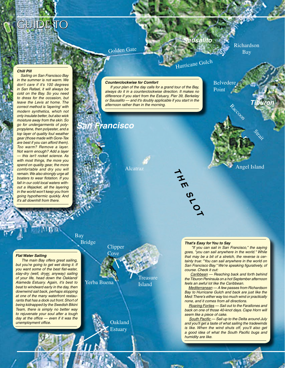# GUIDE TO

Golden Gate

# *Sausalito*

Hurricane Gulch

Richardson Bay

#### *Chill Pill*

 *Sailing on San Francisco Bay in the summer is not warm. We don't care if it's 100 degrees in San Rafael, it will always be cold on the Bay. So you need to dress for the occasion, but leave the Levis at home. The correct method is 'layering' with modern synthetics, which not only insulate better, but also wick moisture away from the skin. So go for undergarments of polypropylene, then polyester, and a top layer of quality foul weather gear (those made with Gore-Tex are best if you can afford them). Too warm? Remove a layer. Not warm enough? Add a layer — this isn't rocket science. As with most things, the more you spend on quality gear, the more comfortable and dry you will remain. We also strongly urge all boaters to wear flotation. If you fall in our cold local waters without a lifejacket, all the layering in the world won't keep you from going hypothermic quickly. And it's all downhill from there.* 

#### *Counterclockwise for Comfort*

 *If your plan of the day calls for a grand tour of the Bay, always do it in a counterclockwise direction. It makes no difference if you start from the Estuary, Pier 39, Berkeley or Sausalito — and it's doubly applicable if you start in the afternoon rather than in the morning.*

## *San Francisco*

Alcatraz

## *Flat Water Sailing*

 *The main Bay offers great sailing, but you're going to get wet doing it. If you want some of the best flat-water, stay-dry (well, dryer, anyway) sailing of your life, head down the Oakland/ Alameda Estuary. Again, it's best to beat to windward early in the day, then downwind sail back, perhaps stopping at one of the many waterfront restaurants that has a dock out front. Short of being kidnapped by the Swedish Bikini Team, there is simply no better way to rejuvenate your soul after a tough day at the office — even if it was the unemployment office.*

Bay

Yerba Buena Bridge Treasure Island Clipper Cove

> **Oakland Estuary**

Belvedere Point

Angel Island

Strait

*Tiburon*

### *That's Easy for You to Say*

 $\rightarrow$  *H*

 *E S*

 *L*

 *O T*

 *"If you can sail in San Francisco," the saying goes, "you can sail anywhere in the world." While that may be a bit of a stretch, the reverse is certainly true: "You can sail anywhere in the world on San Francisco Bay." We're speaking figuratively, of course. Check it out:*

 *Caribbean — Reaching back and forth behind the Tiburon Peninsula on a hot September afternoon feels an awful lot like the Caribbean.*

 *Mediterranean — A few passes from Richardson Bay to Hurricane Gulch and back are just like the Med: There's either way too much wind or practically none, and it comes from all directions.*

 *Roaring Forties — Sail out to the Farallones and back on one of those 40-knot days. Cape Horn will seem like a piece of cake.* 

 *South Pacific — Sail up to the Delta around July and you'll get a taste of what sailing the tradewinds is like. When the wind shuts off, you'll also get a good idea of what the South Pacific bugs and humidity are like.*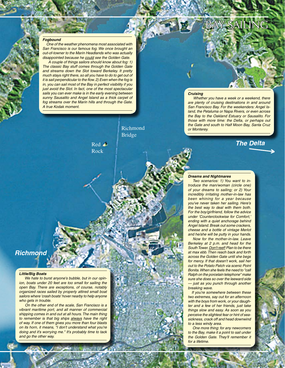#### *Fogbound*

 *One of the weather phenomena most associated with San Francisco is our famous fog. We once brought an out-of-towner to the Marin Headlands who was actually disappointed because he could see the Golden Gate.*

 *A couple of things sailors should know about fog: 1) The classic Bay stuff comes through the Golden Gate and streams down the Slot toward Berkeley. It pretty much stays right there, so all you have to do to get out of it is sail perpendicular to the flow. 2) Even when the fog is in, you can sail most of the Bay in perfect visibility if you just avoid the Slot. In fact, one of the most spectacular sails you can ever make is in the early evening between sunny Sausalito and Angel Island as a thick carpet of fog streams over the Marin hills and through the Gate. A true Kodak moment.*

> Red . Rock



#### *Cruising*

 *Whether you have a week or a weekend, there are plenty of cruising destinations in and around San Francisco Bay. For the weekenders: Angel Island, the Petaluma or Napa Rivers, or even across the Bay to the Oakland Estuary or Sausalito. For those with more time: the Delta, or perhaps out the Gate and south to Half Moon Bay, Santa Cruz or Monterey.*

BAY SAILING

*The Delta*

## *Richmond*

#### *Little/Big Boats*

 *We hate to burst anyone's bubble, but in our opinion, boats under 20 feet are too small for sailing the open Bay. There are exceptions, of course, notably organized races sailed by properly attired small boat sailors where 'crash boats' hover nearby to help anyone who gets in trouble.*

 *On the other end of the scale, San Francisco is a vibrant maritime port, and all manner of commercial shipping comes in and out at all hours. The main thing to remember is that big ships always have the right of way. If one of them gives you more than four blasts on its horn, it means, "I don't understand what you're doing and it's worrying me." It's probably time to tack and go the other way.*

#### *Dreams and Nightmares*

 *Two scenarios: 1) You want to introduce the man/woman (circle one) of your dreams to sailing; or 2) Your incredibly irritating mother-in-law has been whining for a year because you've never taken her sailing. Here's the best way to deal with them both. For the boy/girlfriend, follow the advice under 'Counterclockwise for Comfort,' ending with a quiet anchorage behind Angel Island. Break out some crackers, cheese and a bottle of vintage Merlot and he/she will be putty in your hands.*

 *Now for the mother-in-law. Leave Berkeley at 2 p.m. and head for the South Tower. Don't reef! Plan to be there at max ebb. Then reach back and forth across the Golden Gate until she begs for mercy. If that doesn't work, sail her out to the Potato Patch via scenic Point Bonita. When she feels the need to "call Ralph on the porcelain telephone" make sure she does so over the leeward side — just as you punch through another breaking wave.* 

 *If you're somewhere between these two extremes, say out for an afternoon with the boys from work, or your daughter and a few of her friends, just take things slow and easy. As soon as you perceive the slightest fear or hint of seasickness, crack off and head downwind to a less windy area.*

 *One more thing: for any newcomers to the Bay, make it a point to sail under the Golden Gate. They'll remember it for a lifetime.*